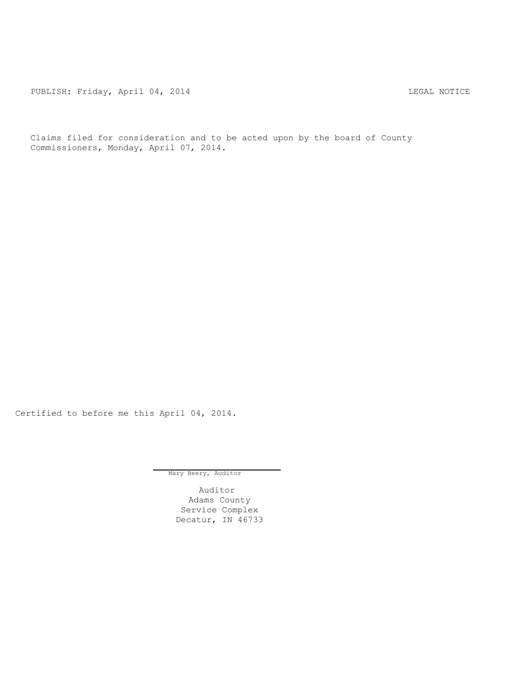PUBLISH: Friday, April 04, 2014 CHARA CHARA HOTICE

Claims filed for consideration and to be acted upon by the board of County Commissioners, Monday, April 07, 2014.

Certified to before me this April 04, 2014.

Mary Beery, Auditor

Auditor Adams County Service Complex Decatur, IN 46733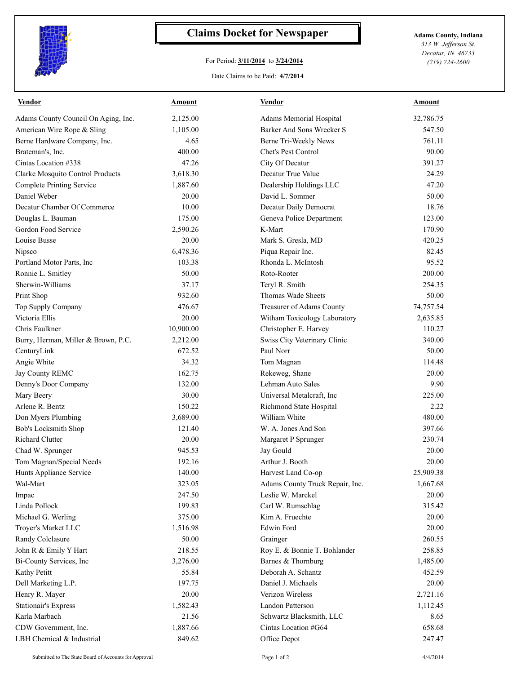

## **Claims Docket for Newspaper Adams County, Indiana**

## For Period: **3/11/2014** to **3/24/2014**

*313 W. Jefferson St. Decatur, IN 46733 (219) 724-2600*

## Date Claims to be Paid: **4/7/2014**

| <b>Vendor</b>                       | <u>Amount</u> | <b>Vendor</b>                   | <u>Amount</u> |
|-------------------------------------|---------------|---------------------------------|---------------|
| Adams County Council On Aging, Inc. | 2,125.00      | <b>Adams Memorial Hospital</b>  | 32,786.75     |
| American Wire Rope & Sling          | 1,105.00      | Barker And Sons Wrecker S       | 547.50        |
| Berne Hardware Company, Inc.        | 4.65          | Berne Tri-Weekly News           | 761.11        |
| Brateman's, Inc.                    | 400.00        | Chet's Pest Control             | 90.00         |
| Cintas Location #338                | 47.26         | City Of Decatur                 | 391.27        |
| Clarke Mosquito Control Products    | 3,618.30      | Decatur True Value              | 24.29         |
| <b>Complete Printing Service</b>    | 1,887.60      | Dealership Holdings LLC         | 47.20         |
| Daniel Weber                        | 20.00         | David L. Sommer                 | 50.00         |
| Decatur Chamber Of Commerce         | 10.00         | Decatur Daily Democrat          | 18.76         |
| Douglas L. Bauman                   | 175.00        | Geneva Police Department        | 123.00        |
| Gordon Food Service                 | 2,590.26      | K-Mart                          | 170.90        |
| Louise Busse                        | 20.00         | Mark S. Gresla, MD              | 420.25        |
| Nipsco                              | 6,478.36      | Piqua Repair Inc.               | 82.45         |
| Portland Motor Parts, Inc.          | 103.38        | Rhonda L. McIntosh              | 95.52         |
| Ronnie L. Smitley                   | 50.00         | Roto-Rooter                     | 200.00        |
| Sherwin-Williams                    | 37.17         | Teryl R. Smith                  | 254.35        |
| Print Shop                          | 932.60        | Thomas Wade Sheets              | 50.00         |
| Top Supply Company                  | 476.67        | Treasurer of Adams County       | 74,757.54     |
| Victoria Ellis                      | 20.00         | Witham Toxicology Laboratory    | 2,635.85      |
| Chris Faulkner                      | 10,900.00     | Christopher E. Harvey           | 110.27        |
| Burry, Herman, Miller & Brown, P.C. | 2,212.00      | Swiss City Veterinary Clinic    | 340.00        |
| CenturyLink                         | 672.52        | Paul Norr                       | 50.00         |
| Angie White                         | 34.32         | Tom Magnan                      | 114.48        |
| Jay County REMC                     | 162.75        | Rekeweg, Shane                  | 20.00         |
| Denny's Door Company                | 132.00        | Lehman Auto Sales               | 9.90          |
| Mary Beery                          | 30.00         | Universal Metalcraft, Inc.      | 225.00        |
| Arlene R. Bentz                     | 150.22        | Richmond State Hospital         | 2.22          |
| Don Myers Plumbing                  | 3,689.00      | William White                   | 480.00        |
| Bob's Locksmith Shop                | 121.40        | W. A. Jones And Son             | 397.66        |
| <b>Richard Clutter</b>              | 20.00         | Margaret P Sprunger             | 230.74        |
| Chad W. Sprunger                    | 945.53        | Jay Gould                       | 20.00         |
| Tom Magnan/Special Needs            | 192.16        | Arthur J. Booth                 | 20.00         |
| Hunts Appliance Service             | 140.00        | Harvest Land Co-op              | 25,909.38     |
| Wal-Mart                            | 323.05        | Adams County Truck Repair, Inc. | 1,667.68      |
| Impac                               | 247.50        | Leslie W. Marckel               | 20.00         |
| Linda Pollock                       | 199.83        | Carl W. Rumschlag               | 315.42        |
| Michael G. Werling                  | 375.00        | Kim A. Fruechte                 | 20.00         |
| Troyer's Market LLC                 | 1,516.98      | Edwin Ford                      | 20.00         |
| Randy Colclasure                    | 50.00         | Grainger                        | 260.55        |
| John R & Emily Y Hart               | 218.55        | Roy E. & Bonnie T. Bohlander    | 258.85        |
| Bi-County Services, Inc.            | 3,276.00      | Barnes & Thornburg              | 1,485.00      |
| Kathy Petitt                        | 55.84         | Deborah A. Schantz              | 452.59        |
| Dell Marketing L.P.                 | 197.75        | Daniel J. Michaels              | 20.00         |
| Henry R. Mayer                      | 20.00         | Verizon Wireless                | 2,721.16      |
| <b>Stationair's Express</b>         | 1,582.43      | Landon Patterson                | 1,112.45      |
| Karla Marbach                       | 21.56         | Schwartz Blacksmith, LLC        | 8.65          |
| CDW Government, Inc.                | 1,887.66      | Cintas Location #G64            | 658.68        |
| LBH Chemical & Industrial           | 849.62        | Office Depot                    | 247.47        |
|                                     |               |                                 |               |